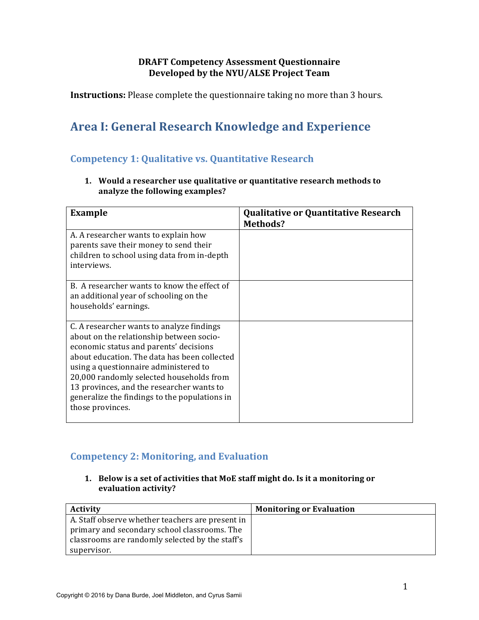## **DRAFT Competency Assessment Questionnaire Developed by the NYU/ALSE Project Team**

**Instructions:** Please complete the questionnaire taking no more than 3 hours.

# **Area I: General Research Knowledge and Experience**

# **Competency 1: Qualitative vs. Quantitative Research**

**1.** Would a researcher use qualitative or quantitative research methods to analyze the following examples?

| <b>Example</b>                                                                                                                                                                                                                                                                                                                                                                         | <b>Qualitative or Quantitative Research</b><br>Methods? |
|----------------------------------------------------------------------------------------------------------------------------------------------------------------------------------------------------------------------------------------------------------------------------------------------------------------------------------------------------------------------------------------|---------------------------------------------------------|
| A. A researcher wants to explain how<br>parents save their money to send their<br>children to school using data from in-depth<br>interviews.                                                                                                                                                                                                                                           |                                                         |
| B. A researcher wants to know the effect of<br>an additional year of schooling on the<br>households' earnings.                                                                                                                                                                                                                                                                         |                                                         |
| C. A researcher wants to analyze findings<br>about on the relationship between socio-<br>economic status and parents' decisions<br>about education. The data has been collected<br>using a questionnaire administered to<br>20,000 randomly selected households from<br>13 provinces, and the researcher wants to<br>generalize the findings to the populations in<br>those provinces. |                                                         |

## **Competency 2: Monitoring, and Evaluation**

**1.** Below is a set of activities that MoE staff might do. Is it a monitoring or **evaluation activity?**

| <b>Activity</b>                                  | <b>Monitoring or Evaluation</b> |
|--------------------------------------------------|---------------------------------|
| A. Staff observe whether teachers are present in |                                 |
| primary and secondary school classrooms. The     |                                 |
| classrooms are randomly selected by the staff's  |                                 |
| supervisor.                                      |                                 |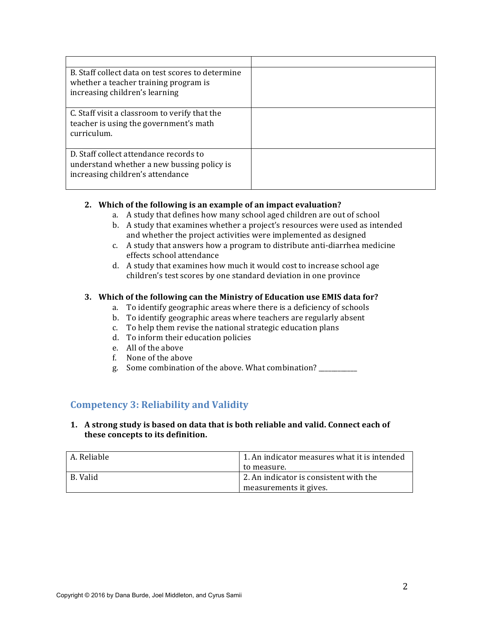| B. Staff collect data on test scores to determine<br>whether a teacher training program is<br>increasing children's learning |  |
|------------------------------------------------------------------------------------------------------------------------------|--|
| C. Staff visit a classroom to verify that the<br>teacher is using the government's math<br>curriculum.                       |  |
| D. Staff collect attendance records to<br>understand whether a new bussing policy is<br>increasing children's attendance     |  |

#### **2.** Which of the following is an example of an impact evaluation?

- a. A study that defines how many school aged children are out of school
- b. A study that examines whether a project's resources were used as intended and whether the project activities were implemented as designed
- c. A study that answers how a program to distribute anti-diarrhea medicine effects school attendance
- d. A study that examines how much it would cost to increase school age children's test scores by one standard deviation in one province

#### **3.** Which of the following can the Ministry of Education use EMIS data for?

- a. To identify geographic areas where there is a deficiency of schools
- b. To identify geographic areas where teachers are regularly absent
- c. To help them revise the national strategic education plans
- d. To inform their education policies
- e. All of the above
- f. None of the above
- g. Some combination of the above. What combination?

## **Competency 3: Reliability and Validity**

#### 1. A strong study is based on data that is both reliable and valid. Connect each of these concepts to its definition.

| A. Reliable | 1. An indicator measures what it is intended |
|-------------|----------------------------------------------|
|             | to measure.                                  |
| B. Valid    | 2. An indicator is consistent with the       |
|             | measurements it gives.                       |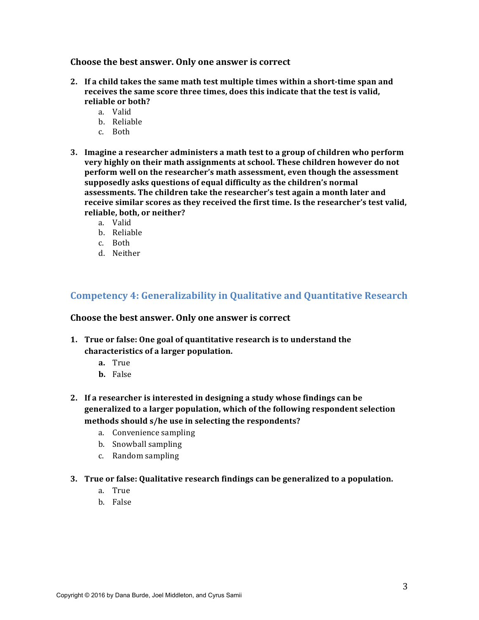Choose the best answer. Only one answer is correct

- 2. If a child takes the same math test multiple times within a short-time span and receives the same score three times, does this indicate that the test is valid, reliable or both?
	- a. Valid
	- b. Reliable
	- c. Both
- **3.** Imagine a researcher administers a math test to a group of children who perform **very highly on their math assignments at school. These children however do not** perform well on the researcher's math assessment, even though the assessment supposedly asks questions of equal difficulty as the children's normal assessments. The children take the researcher's test again a month later and receive similar scores as they received the first time. Is the researcher's test valid, reliable, both, or neither?
	- a. Valid
	- b. Reliable
	- c. Both
	- d. Neither

## **Competency 4: Generalizability in Qualitative and Quantitative Research**

#### Choose the best answer. Only one answer is correct

- **1.** True or false: One goal of quantitative research is to understand the **characteristics of a larger population.**
	- **a.** True
	- **b.** False
- **2.** If a researcher is interested in designing a study whose findings can be generalized to a larger population, which of the following respondent selection methods should s/he use in selecting the respondents?
	- a. Convenience sampling
	- b. Snowball sampling
	- c. Random sampling
- **3.** True or false: Qualitative research findings can be generalized to a population.
	- a. True
	- b. False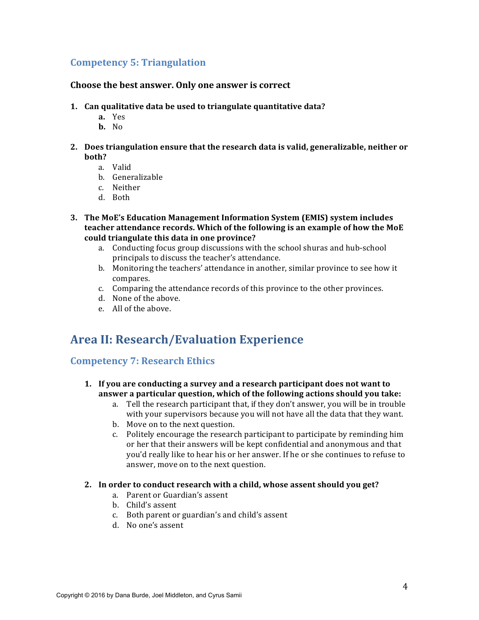## **Competency 5: Triangulation**

#### **Choose the best answer. Only one answer is correct**

- **1.** Can qualitative data be used to triangulate quantitative data?
	- **a.** Yes
	- **b.** No
- **2.** Does triangulation ensure that the research data is valid, generalizable, neither or hoth?
	- a. Valid
	- b. Generalizable
	- c. Neither
	- d. Both
- **3. The MoE's Education Management Information System (EMIS) system includes teacher attendance records. Which of the following is an example of how the MoE could triangulate this data in one province?**
	- a. Conducting focus group discussions with the school shuras and hub-school principals to discuss the teacher's attendance.
	- b. Monitoring the teachers' attendance in another, similar province to see how it compares.
	- c. Comparing the attendance records of this province to the other provinces.
	- d. None of the above.
	- e. All of the above.

# **Area II: Research/Evaluation Experience**

### **Competency 7: Research Ethics**

- **1.** If you are conducting a survey and a research participant does not want to **answer a particular question, which of the following actions should you take:** 
	- a. Tell the research participant that, if they don't answer, you will be in trouble with your supervisors because you will not have all the data that they want.
	- b. Move on to the next question.
	- c. Politely encourage the research participant to participate by reminding him or her that their answers will be kept confidential and anonymous and that you'd really like to hear his or her answer. If he or she continues to refuse to answer, move on to the next question.

#### **2.** In order to conduct research with a child, whose assent should you get?

- a. Parent or Guardian's assent
- b. Child's assent
- c. Both parent or guardian's and child's assent
- d. No one's assent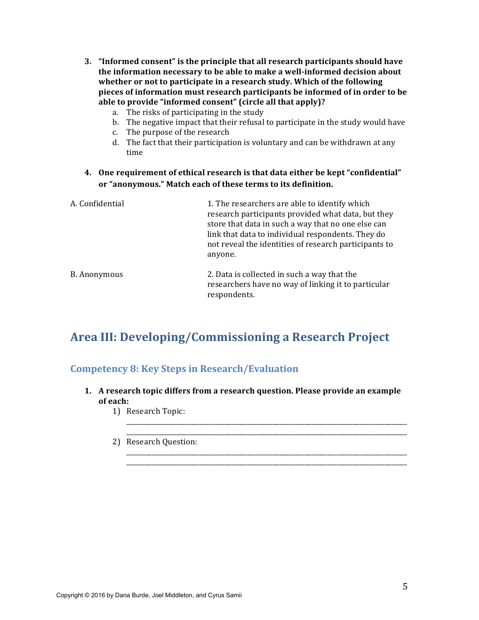- **3. "Informed consent"** is the principle that all research participants should have the information necessary to be able to make a well-informed decision about whether or not to participate in a research study. Which of the following **pieces** of information must research participants be informed of in order to be able to provide "informed consent" (circle all that apply)?
	- a. The risks of participating in the study
	- b. The negative impact that their refusal to participate in the study would have
	- c. The purpose of the research
	- d. The fact that their participation is voluntary and can be withdrawn at any time
- **4.** One requirement of ethical research is that data either be kept "confidential" or "anonymous." Match each of these terms to its definition.

| A. Confidential | 1. The researchers are able to identify which<br>research participants provided what data, but they<br>store that data in such a way that no one else can<br>link that data to individual respondents. They do<br>not reveal the identities of research participants to<br>anyone. |
|-----------------|------------------------------------------------------------------------------------------------------------------------------------------------------------------------------------------------------------------------------------------------------------------------------------|
| B. Anonymous    | 2. Data is collected in such a way that the<br>researchers have no way of linking it to particular<br>respondents.                                                                                                                                                                 |

# Area III: Developing/Commissioning a Research Project

## **Competency 8: Key Steps in Research/Evaluation**

**1.** A research topic differs from a research question. Please provide an example **of each:**

\_\_\_\_\_\_\_\_\_\_\_\_\_\_\_\_\_\_\_\_\_\_\_\_\_\_\_\_\_\_\_\_\_\_\_\_\_\_\_\_\_\_\_\_\_\_\_\_\_\_\_\_\_\_\_\_\_\_\_\_\_\_\_\_\_\_\_\_\_\_\_\_\_\_\_\_\_\_\_\_\_\_\_\_\_\_\_\_

\_\_\_\_\_\_\_\_\_\_\_\_\_\_\_\_\_\_\_\_\_\_\_\_\_\_\_\_\_\_\_\_\_\_\_\_\_\_\_\_\_\_\_\_\_\_\_\_\_\_\_\_\_\_\_\_\_\_\_\_\_\_\_\_\_\_\_\_\_\_\_\_\_\_\_\_\_\_\_\_\_\_\_\_\_\_\_\_ \_\_\_\_\_\_\_\_\_\_\_\_\_\_\_\_\_\_\_\_\_\_\_\_\_\_\_\_\_\_\_\_\_\_\_\_\_\_\_\_\_\_\_\_\_\_\_\_\_\_\_\_\_\_\_\_\_\_\_\_\_\_\_\_\_\_\_\_\_\_\_\_\_\_\_\_\_\_\_\_\_\_\_\_\_\_\_\_

- 1) Research Topic:
- \_\_\_\_\_\_\_\_\_\_\_\_\_\_\_\_\_\_\_\_\_\_\_\_\_\_\_\_\_\_\_\_\_\_\_\_\_\_\_\_\_\_\_\_\_\_\_\_\_\_\_\_\_\_\_\_\_\_\_\_\_\_\_\_\_\_\_\_\_\_\_\_\_\_\_\_\_\_\_\_\_\_\_\_\_\_\_\_ 2) Research Question: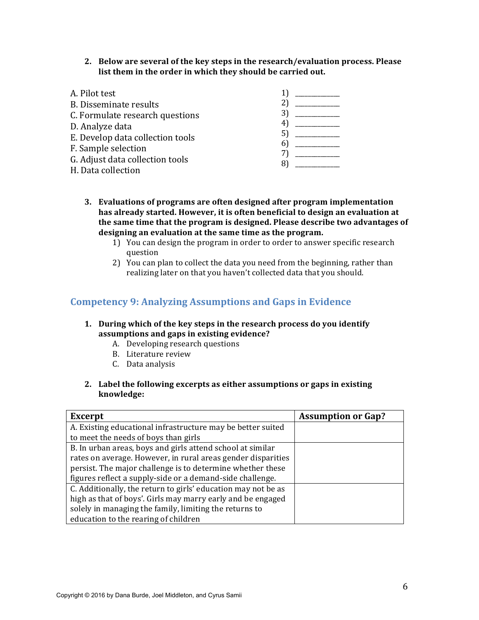**2.** Below are several of the key steps in the research/evaluation process. Please list them in the order in which they should be carried out.

| A. Pilot test                    |  |
|----------------------------------|--|
| <b>B.</b> Disseminate results    |  |
| C. Formulate research questions  |  |
| D. Analyze data                  |  |
| E. Develop data collection tools |  |
| F. Sample selection              |  |
| G. Adjust data collection tools  |  |
| H. Data collection               |  |

- **3.** Evaluations of programs are often designed after program implementation has already started. However, it is often beneficial to design an evaluation at the same time that the program is designed. Please describe two advantages of designing an evaluation at the same time as the program.
	- 1) You can design the program in order to order to answer specific research question
	- 2) You can plan to collect the data you need from the beginning, rather than realizing later on that you haven't collected data that you should.

## **Competency 9: Analyzing Assumptions and Gaps in Evidence**

#### **1. During** which of the key steps in the research process do you identify assumptions and gaps in existing evidence?

- A. Developing research questions
- B. Literature review
- C. Data analysis
- **2.** Label the following excerpts as either assumptions or gaps in existing **knowledge:**

| <b>Excerpt</b>                                                | <b>Assumption or Gap?</b> |
|---------------------------------------------------------------|---------------------------|
| A. Existing educational infrastructure may be better suited   |                           |
| to meet the needs of boys than girls                          |                           |
| B. In urban areas, boys and girls attend school at similar    |                           |
| rates on average. However, in rural areas gender disparities  |                           |
| persist. The major challenge is to determine whether these    |                           |
| figures reflect a supply-side or a demand-side challenge.     |                           |
| C. Additionally, the return to girls' education may not be as |                           |
| high as that of boys'. Girls may marry early and be engaged   |                           |
| solely in managing the family, limiting the returns to        |                           |
| education to the rearing of children                          |                           |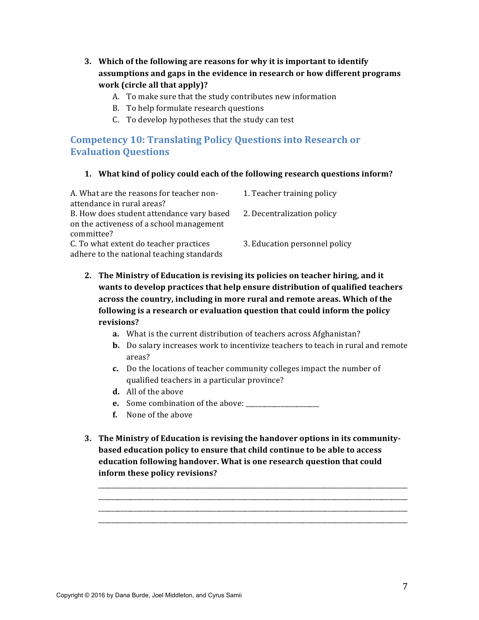- **3.** Which of the following are reasons for why it is important to identify assumptions and gaps in the evidence in research or how different programs **work** (circle all that apply)?
	- A. To make sure that the study contributes new information
	- B. To help formulate research questions
	- C. To develop hypotheses that the study can test

# **Competency 10: Translating Policy Questions into Research or Evaluation Questions**

#### **1.** What kind of policy could each of the following research questions inform?

| A. What are the reasons for teacher non-  | 1. Teacher training policy    |
|-------------------------------------------|-------------------------------|
| attendance in rural areas?                |                               |
| B. How does student attendance vary based | 2. Decentralization policy    |
| on the activeness of a school management  |                               |
| committee?                                |                               |
| C. To what extent do teacher practices    | 3. Education personnel policy |
| adhere to the national teaching standards |                               |
|                                           |                               |

- 2. The Ministry of Education is revising its policies on teacher hiring, and it **wants to develop practices that help ensure distribution of qualified teachers** across the country, including in more rural and remote areas. Which of the **following** is a research or evaluation question that could inform the policy **revisions?** 
	- **a.** What is the current distribution of teachers across Afghanistan?
	- **b.** Do salary increases work to incentivize teachers to teach in rural and remote areas?
	- **c.** Do the locations of teacher community colleges impact the number of qualified teachers in a particular province?
	- **d.** All of the above
	- **e.** Some combination of the above: \_\_\_\_\_\_\_\_\_\_\_\_\_\_\_\_\_\_\_\_\_\_\_
	- **f.** None of the above
- **3.** The Ministry of Education is revising the handover options in its community**based education policy to ensure that child continue to be able to access education following handover. What is one research question that could** inform these policy revisions?

\_\_\_\_\_\_\_\_\_\_\_\_\_\_\_\_\_\_\_\_\_\_\_\_\_\_\_\_\_\_\_\_\_\_\_\_\_\_\_\_\_\_\_\_\_\_\_\_\_\_\_\_\_\_\_\_\_\_\_\_\_\_\_\_\_\_\_\_\_\_\_\_\_\_\_\_\_\_\_\_\_\_\_\_\_\_\_\_\_\_\_\_\_\_\_\_\_ \_\_\_\_\_\_\_\_\_\_\_\_\_\_\_\_\_\_\_\_\_\_\_\_\_\_\_\_\_\_\_\_\_\_\_\_\_\_\_\_\_\_\_\_\_\_\_\_\_\_\_\_\_\_\_\_\_\_\_\_\_\_\_\_\_\_\_\_\_\_\_\_\_\_\_\_\_\_\_\_\_\_\_\_\_\_\_\_\_\_\_\_\_\_\_\_\_ \_\_\_\_\_\_\_\_\_\_\_\_\_\_\_\_\_\_\_\_\_\_\_\_\_\_\_\_\_\_\_\_\_\_\_\_\_\_\_\_\_\_\_\_\_\_\_\_\_\_\_\_\_\_\_\_\_\_\_\_\_\_\_\_\_\_\_\_\_\_\_\_\_\_\_\_\_\_\_\_\_\_\_\_\_\_\_\_\_\_\_\_\_\_\_\_\_ \_\_\_\_\_\_\_\_\_\_\_\_\_\_\_\_\_\_\_\_\_\_\_\_\_\_\_\_\_\_\_\_\_\_\_\_\_\_\_\_\_\_\_\_\_\_\_\_\_\_\_\_\_\_\_\_\_\_\_\_\_\_\_\_\_\_\_\_\_\_\_\_\_\_\_\_\_\_\_\_\_\_\_\_\_\_\_\_\_\_\_\_\_\_\_\_\_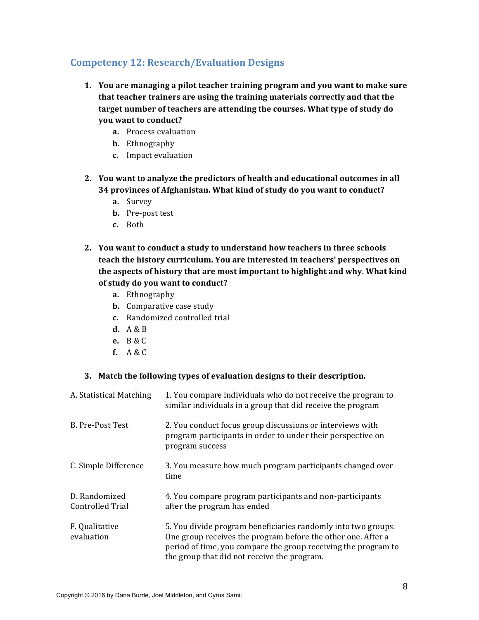# **Competency 12: Research/Evaluation Designs**

- **1.** You are managing a pilot teacher training program and you want to make sure **that teacher trainers are using the training materials correctly and that the** target number of teachers are attending the courses. What type of study do **you** want to conduct?
	- **a.** Process evaluation
	- **b.** Ethnography
	- **c.** Impact evaluation
- **2.** You want to analyze the predictors of health and educational outcomes in all 34 provinces of Afghanistan. What kind of study do you want to conduct?
	- **a.** Survey
	- **b.** Pre-post test
	- **c.** Both
- **2.** You want to conduct a study to understand how teachers in three schools **teach the history curriculum. You are interested in teachers' perspectives on** the aspects of history that are most important to highlight and why. What kind of study do you want to conduct?
	- **a.** Ethnography
	- **b.** Comparative case study
	- **c.** Randomized controlled trial
	- **d.** A & B
	- **e.** B & C
	- **f.** A & C

#### **3.** Match the following types of evaluation designs to their description.

| A. Statistical Matching           | 1. You compare individuals who do not receive the program to<br>similar individuals in a group that did receive the program                                                                                                                    |
|-----------------------------------|------------------------------------------------------------------------------------------------------------------------------------------------------------------------------------------------------------------------------------------------|
| B. Pre-Post Test                  | 2. You conduct focus group discussions or interviews with<br>program participants in order to under their perspective on<br>program success                                                                                                    |
| C. Simple Difference              | 3. You measure how much program participants changed over<br>time                                                                                                                                                                              |
| D. Randomized<br>Controlled Trial | 4. You compare program participants and non-participants<br>after the program has ended                                                                                                                                                        |
| F. Qualitative<br>evaluation      | 5. You divide program beneficiaries randomly into two groups.<br>One group receives the program before the other one. After a<br>period of time, you compare the group receiving the program to<br>the group that did not receive the program. |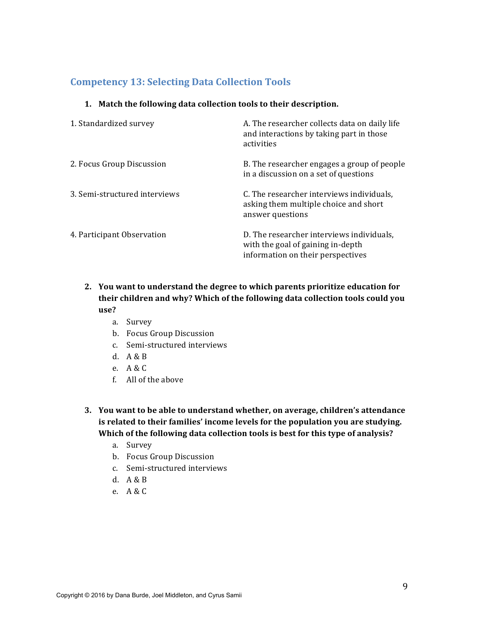# **Competency 13: Selecting Data Collection Tools**

#### 1. Match the following data collection tools to their description.

| 1. Standardized survey        | A. The researcher collects data on daily life<br>and interactions by taking part in those<br>activities             |
|-------------------------------|---------------------------------------------------------------------------------------------------------------------|
| 2. Focus Group Discussion     | B. The researcher engages a group of people<br>in a discussion on a set of questions                                |
| 3. Semi-structured interviews | C. The researcher interviews individuals,<br>asking them multiple choice and short<br>answer questions              |
| 4. Participant Observation    | D. The researcher interviews individuals,<br>with the goal of gaining in-depth<br>information on their perspectives |

- 2. You want to understand the degree to which parents prioritize education for their children and why? Which of the following data collection tools could you **use?** 
	- a. Survey
	- b. Focus Group Discussion
	- c. Semi-structured interviews
	- d. A & B
	- e. A & C
	- f. All of the above
- **3.** You want to be able to understand whether, on average, children's attendance is related to their families' income levels for the population you are studying. Which of the following data collection tools is best for this type of analysis?
	- a. Survey
	- b. Focus Group Discussion
	- c. Semi-structured interviews
	- d.  $A & B$
	- e. A & C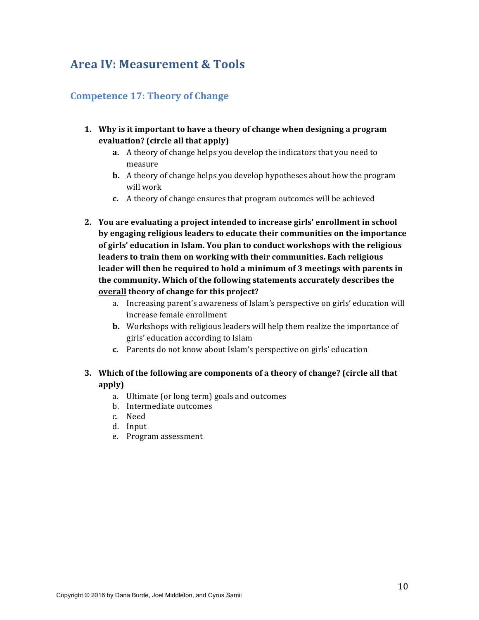# Area **IV: Measurement & Tools**

# **Competence 17: Theory of Change**

- 1. Why is it important to have a theory of change when designing a program **evaluation? (circle all that apply)**
	- **a.** A theory of change helps you develop the indicators that you need to measure
	- **b.** A theory of change helps you develop hypotheses about how the program will work
	- **c.** A theory of change ensures that program outcomes will be achieved
- **2.** You are evaluating a project intended to increase girls' enrollment in school by engaging religious leaders to educate their communities on the importance of girls' education in Islam. You plan to conduct workshops with the religious **leaders to train them on working with their communities. Each religious leader** will then be required to hold a minimum of 3 meetings with parents in the community. Which of the following statements accurately describes the **overall** theory of change for this project?
	- a. Increasing parent's awareness of Islam's perspective on girls' education will increase female enrollment
	- **b.** Workshops with religious leaders will help them realize the importance of girls' education according to Islam
	- **c.** Parents do not know about Islam's perspective on girls' education

## **3.** Which of the following are components of a theory of change? (circle all that **apply)**

- a. Ultimate (or long term) goals and outcomes
- b. Intermediate outcomes
- c. Need
- d. Input
- e. Program assessment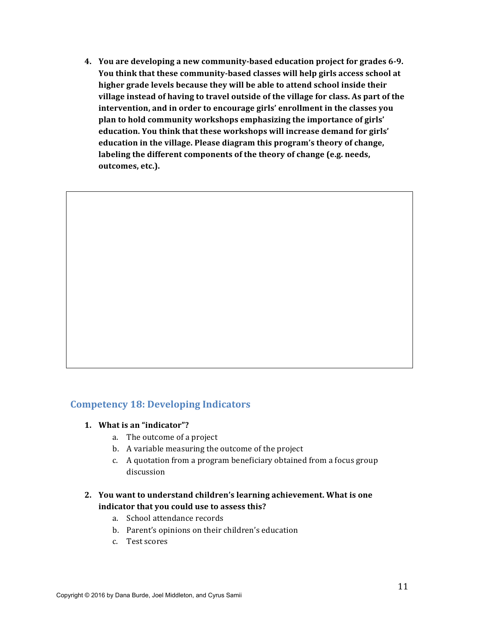**4.** You are developing a new community-based education project for grades 6-9. **You think that these community-based classes will help girls access school at** higher grade levels because they will be able to attend school inside their village instead of having to travel outside of the village for class. As part of the **intervention, and in order to encourage girls' enrollment in the classes you plan to hold community workshops emphasizing the importance of girls'** education. You think that these workshops will increase demand for girls' education in the village. Please diagram this program's theory of change, labeling the different components of the theory of change (e.g. needs, outcomes, etc.).

### **Competency 18: Developing Indicators**

- **1.** What is an "indicator"?
	- a. The outcome of a project
	- b. A variable measuring the outcome of the project
	- c. A quotation from a program beneficiary obtained from a focus group discussion
- 2. You want to understand children's learning achievement. What is one indicator that you could use to assess this?
	- a. School attendance records
	- b. Parent's opinions on their children's education
	- c. Test scores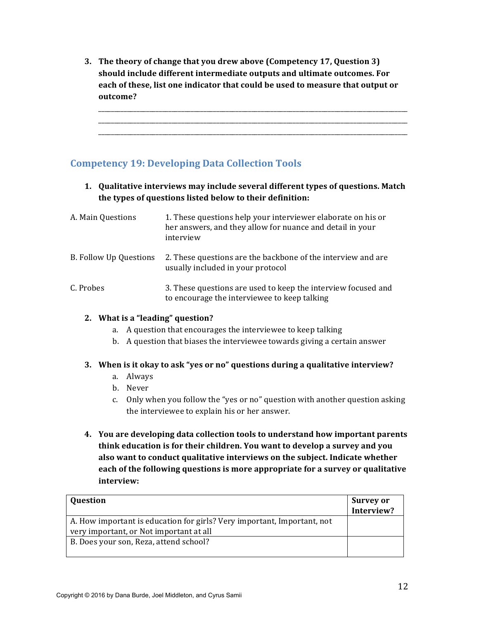**3.** The theory of change that you drew above (Competency 17, Question 3) should include different intermediate outputs and ultimate outcomes. For each of these, list one indicator that could be used to measure that output or **outcome?** 

\_\_\_\_\_\_\_\_\_\_\_\_\_\_\_\_\_\_\_\_\_\_\_\_\_\_\_\_\_\_\_\_\_\_\_\_\_\_\_\_\_\_\_\_\_\_\_\_\_\_\_\_\_\_\_\_\_\_\_\_\_\_\_\_\_\_\_\_\_\_\_\_\_\_\_\_\_\_\_\_\_\_\_\_\_\_\_\_\_\_\_\_\_\_\_\_\_ \_\_\_\_\_\_\_\_\_\_\_\_\_\_\_\_\_\_\_\_\_\_\_\_\_\_\_\_\_\_\_\_\_\_\_\_\_\_\_\_\_\_\_\_\_\_\_\_\_\_\_\_\_\_\_\_\_\_\_\_\_\_\_\_\_\_\_\_\_\_\_\_\_\_\_\_\_\_\_\_\_\_\_\_\_\_\_\_\_\_\_\_\_\_\_\_\_ \_\_\_\_\_\_\_\_\_\_\_\_\_\_\_\_\_\_\_\_\_\_\_\_\_\_\_\_\_\_\_\_\_\_\_\_\_\_\_\_\_\_\_\_\_\_\_\_\_\_\_\_\_\_\_\_\_\_\_\_\_\_\_\_\_\_\_\_\_\_\_\_\_\_\_\_\_\_\_\_\_\_\_\_\_\_\_\_\_\_\_\_\_\_\_\_\_

# **Competency 19: Developing Data Collection Tools**

**1.** Qualitative interviews may include several different types of questions. Match the types of questions listed below to their definition:

| A. Main Questions      | 1. These questions help your interviewer elaborate on his or<br>her answers, and they allow for nuance and detail in your<br>interview |
|------------------------|----------------------------------------------------------------------------------------------------------------------------------------|
| B. Follow Up Questions | 2. These questions are the backbone of the interview and are<br>usually included in your protocol                                      |
| C. Probes              | 3. These questions are used to keep the interview focused and<br>to encourage the interviewee to keep talking                          |

#### **2.** What is a "leading" question?

- a. A question that encourages the interviewee to keep talking
- b. A question that biases the interviewee towards giving a certain answer

#### **3.** When is it okay to ask "yes or no" questions during a qualitative interview?

- a. Always
- b. Never
- c. Only when you follow the "yes or no" question with another question asking the interviewee to explain his or her answer.
- **4.** You are developing data collection tools to understand how important parents **think education is for their children. You want to develop a survey and you also want to conduct qualitative interviews on the subject. Indicate whether each of the following questions is more appropriate for a survey or qualitative interview:**

| <b>Question</b>                                                         | <b>Survey or</b> |
|-------------------------------------------------------------------------|------------------|
|                                                                         | Interview?       |
| A. How important is education for girls? Very important, Important, not |                  |
| very important, or Not important at all                                 |                  |
| B. Does your son, Reza, attend school?                                  |                  |
|                                                                         |                  |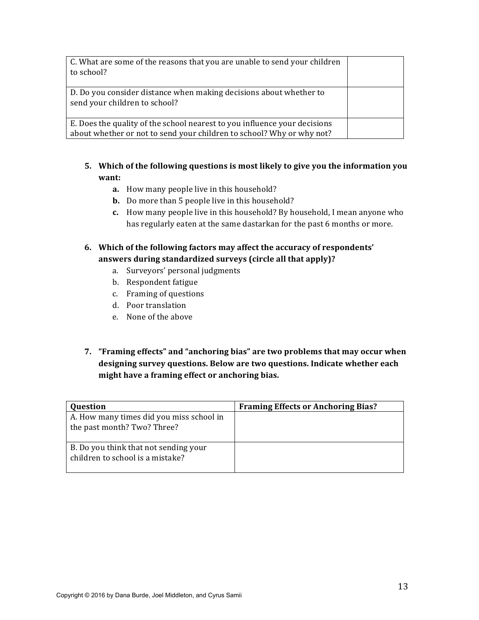| C. What are some of the reasons that you are unable to send your children<br>to school?                                                            |  |
|----------------------------------------------------------------------------------------------------------------------------------------------------|--|
| D. Do you consider distance when making decisions about whether to<br>send your children to school?                                                |  |
| E. Does the quality of the school nearest to you influence your decisions<br>about whether or not to send your children to school? Why or why not? |  |

- **5.** Which of the following questions is most likely to give you the information you **want:** 
	- **a.** How many people live in this household?
	- **b.** Do more than 5 people live in this household?
	- **c.** How many people live in this household? By household, I mean anyone who has regularly eaten at the same dastarkan for the past 6 months or more.
- 6. Which of the following factors may affect the accuracy of respondents' **answers during standardized surveys (circle all that apply)?** 
	- a. Surveyors' personal judgments
	- b. Respondent fatigue
	- c. Framing of questions
	- d. Poor translation
	- e. None of the above
- **7. "Framing effects" and "anchoring bias" are two problems that may occur when** designing survey questions. Below are two questions. Indicate whether each might have a framing effect or anchoring bias.

| Question                                                                  | <b>Framing Effects or Anchoring Bias?</b> |
|---------------------------------------------------------------------------|-------------------------------------------|
| A. How many times did you miss school in<br>the past month? Two? Three?   |                                           |
| B. Do you think that not sending your<br>children to school is a mistake? |                                           |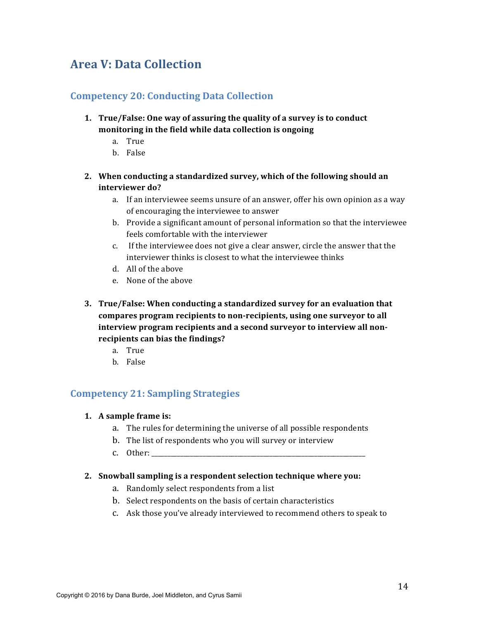# **Area V: Data Collection**

## **Competency 20: Conducting Data Collection**

- **1. True/False:** One way of assuring the quality of a survey is to conduct monitoring in the field while data collection is ongoing
	- a. True
	- b. False
- 2. When conducting a standardized survey, which of the following should an interviewer do?
	- a. If an interviewee seems unsure of an answer, offer his own opinion as a way of encouraging the interviewee to answer
	- b. Provide a significant amount of personal information so that the interviewee feels comfortable with the interviewer
	- c. If the interviewee does not give a clear answer, circle the answer that the interviewer thinks is closest to what the interviewee thinks
	- d. All of the above
	- e. None of the above
- **3. True/False:** When conducting a standardized survey for an evaluation that compares program recipients to non-recipients, using one surveyor to all interview program recipients and a second surveyor to interview all nonrecipients can bias the findings?
	- a. True
	- b. False

## **Competency 21: Sampling Strategies**

#### 1. A sample frame is:

- a. The rules for determining the universe of all possible respondents
- b. The list of respondents who you will survey or interview
- c. Other:

#### 2. Snowball sampling is a respondent selection technique where you:

- a. Randomly select respondents from a list
- b. Select respondents on the basis of certain characteristics
- c. Ask those you've already interviewed to recommend others to speak to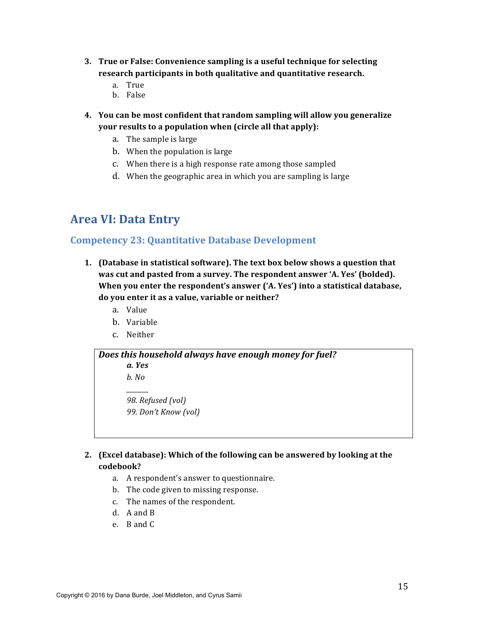- **3.** True or False: Convenience sampling is a useful technique for selecting research participants in both qualitative and quantitative research.
	- a. True
	- b. False
- **4.** You can be most confident that random sampling will allow you generalize **your results to a population when (circle all that apply):** 
	- a. The sample is large
	- b. When the population is large
	- c. When there is a high response rate among those sampled
	- d. When the geographic area in which you are sampling is large

# **Area VI: Data Entry**

### **Competency 23: Quantitative Database Development**

- **1.** (Database in statistical software). The text box below shows a question that was cut and pasted from a survey. The respondent answer 'A. Yes' (bolded). **When you enter the respondent's answer ('A. Yes') into a statistical database,** do you enter it as a value, variable or neither?
	- a. Value
	- b. Variable
	- c. Neither



*98. Refused (vol) 99. Don't Know (vol)*

#### **2. (Excel database):** Which of the following can be answered by looking at the **codebook?**

- a. A respondent's answer to questionnaire.
- b. The code given to missing response.
- c. The names of the respondent.
- d. A and B
- e. B and C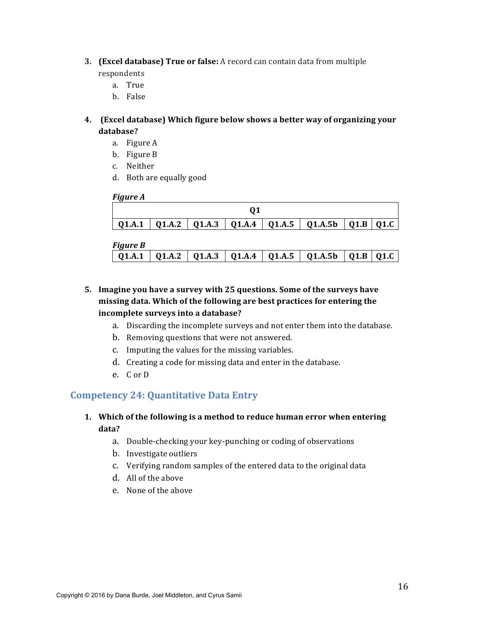**3. (Excel database)** True or false: A record can contain data from multiple

respondents

- a. True
- b. False

### **4. (Excel database) Which figure below shows a better way of organizing your database?**

- a. Figure A
- b. Figure B
- c. Neither
- d. Both are equally good

#### *Figure A*

|  |  | 01.A.1   01.A.2   01.A.3   01.A.4   01.A.5   01.A.5   01.B   01.C |  |
|--|--|-------------------------------------------------------------------|--|

#### *Figure B*

| --0 |  |  |                                                                    |  |
|-----|--|--|--------------------------------------------------------------------|--|
|     |  |  | Q1.A.1   Q1.A.2   Q1.A.3   Q1.A.4   Q1.A.5   Q1.A.5b   Q1.B   Q1.C |  |
|     |  |  |                                                                    |  |

- 5. Imagine you have a survey with 25 questions. Some of the surveys have missing data. Which of the following are best practices for entering the incomplete surveys into a database?
	- a. Discarding the incomplete surveys and not enter them into the database.
	- b. Removing questions that were not answered.
	- c. Imputing the values for the missing variables.
	- d. Creating a code for missing data and enter in the database.
	- e. Cor D

# **Competency 24: Quantitative Data Entry**

### **1.** Which of the following is a method to reduce human error when entering **data?**

- a. Double-checking your key-punching or coding of observations
- b. Investigate outliers
- c. Verifying random samples of the entered data to the original data
- d. All of the above
- e. None of the above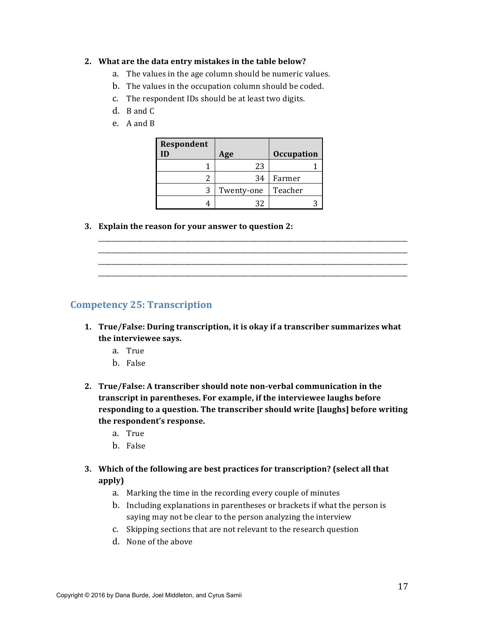#### **2.** What are the data entry mistakes in the table below?

- a. The values in the age column should be numeric values.
- b. The values in the occupation column should be coded.
- c. The respondent IDs should be at least two digits.
- d. B and C
- e. A and B

| Respondent |            |                   |
|------------|------------|-------------------|
|            | Age        | <b>Occupation</b> |
|            | 23         |                   |
|            | 34         | Farmer            |
|            | Twenty-one | Teacher           |
|            | 32         |                   |

**3.** Explain the reason for your answer to question 2:

\_\_\_\_\_\_\_\_\_\_\_\_\_\_\_\_\_\_\_\_\_\_\_\_\_\_\_\_\_\_\_\_\_\_\_\_\_\_\_\_\_\_\_\_\_\_\_\_\_\_\_\_\_\_\_\_\_\_\_\_\_\_\_\_\_\_\_\_\_\_\_\_\_\_\_\_\_\_\_\_\_\_\_\_\_\_\_\_\_\_\_\_\_\_\_\_\_

## **Competency 25: Transcription**

- **1.** True/False: During transcription, it is okay if a transcriber summarizes what the interviewee says.
	- a. True
	- b. False
- **2. True/False: A transcriber should note non-verbal communication in the** transcript in parentheses. For example, if the interviewee laughs before **responding to a question. The transcriber should write [laughs] before writing** the respondent's response.
	- a. True
	- b. False
- **3.** Which of the following are best practices for transcription? (select all that **apply)**
	- a. Marking the time in the recording every couple of minutes
	- b. Including explanations in parentheses or brackets if what the person is saying may not be clear to the person analyzing the interview
	- c. Skipping sections that are not relevant to the research question
	- d. None of the above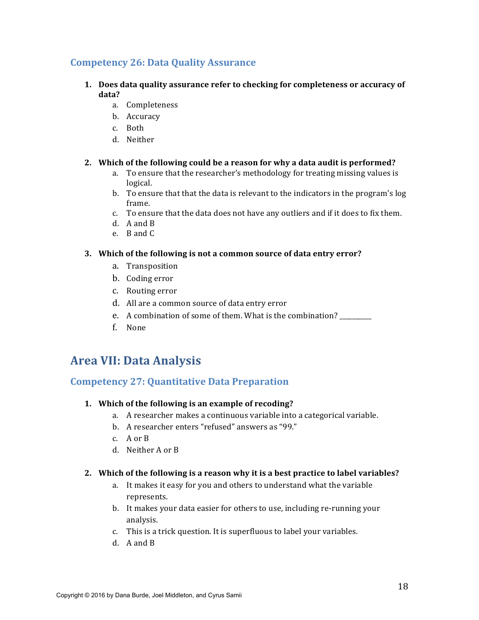## **Competency 26: Data Quality Assurance**

- **1.** Does data quality assurance refer to checking for completeness or accuracy of **data?** 
	- a. Completeness
	- b. Accuracy
	- c. Both
	- d. Neither

#### **2.** Which of the following could be a reason for why a data audit is performed?

- a. To ensure that the researcher's methodology for treating missing values is logical.
- b. To ensure that that the data is relevant to the indicators in the program's log frame.
- c. To ensure that the data does not have any outliers and if it does to fix them.
- d. A and B
- e. B and C

#### **3.** Which of the following is not a common source of data entry error?

- a. Transposition
- b. Coding error
- c. Routing error
- d. All are a common source of data entry error
- e. A combination of some of them. What is the combination?
- f. None

# **Area VII: Data Analysis**

### **Competency 27: Quantitative Data Preparation**

#### 1. Which of the following is an example of recoding?

- a. A researcher makes a continuous variable into a categorical variable.
- b. A researcher enters "refused" answers as "99."
- c. A or B
- d. Neither A or B

#### **2.** Which of the following is a reason why it is a best practice to label variables?

- a. It makes it easy for you and others to understand what the variable represents.
- b. It makes your data easier for others to use, including re-running your analysis.
- c. This is a trick question. It is superfluous to label your variables.
- d.  $A$  and  $B$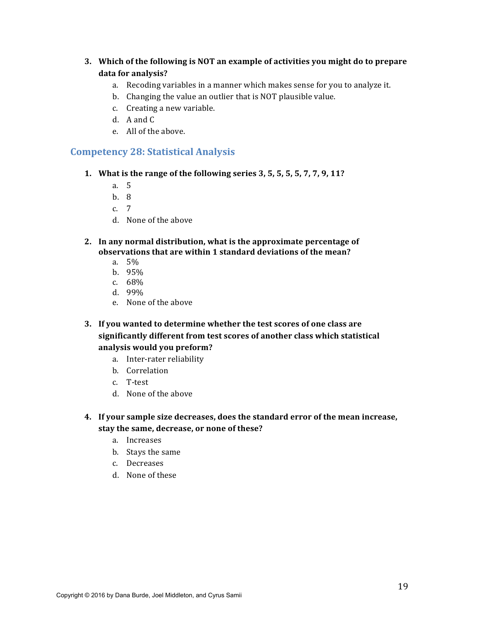- **3.** Which of the following is NOT an example of activities you might do to prepare data for analysis?
	- a. Recoding variables in a manner which makes sense for you to analyze it.
	- b. Changing the value an outlier that is NOT plausible value.
	- c. Creating a new variable.
	- d.  $A$  and  $C$
	- e. All of the above.

## **Competency 28: Statistical Analysis**

- **1.** What is the range of the following series 3, 5, 5, 5, 5, 7, 7, 9, 11?
	- a. 5
	- b. 8
	- c. 7
	- d. None of the above
- **2.** In any normal distribution, what is the approximate percentage of **observations that are within 1 standard deviations of the mean?** 
	- a. 5%
	- b. 95%
	- c. 68%
	- d. 99%
	- e. None of the above
- **3. If you wanted to determine whether the test scores of one class are** significantly different from test scores of another class which statistical analysis would you preform?
	- a. Inter-rater reliability
	- b. Correlation
	- c. T-test
	- d. None of the above
- **4.** If your sample size decreases, does the standard error of the mean increase, stay the same, decrease, or none of these?
	- a. Increases
	- b. Stays the same
	- c. Decreases
	- d. None of these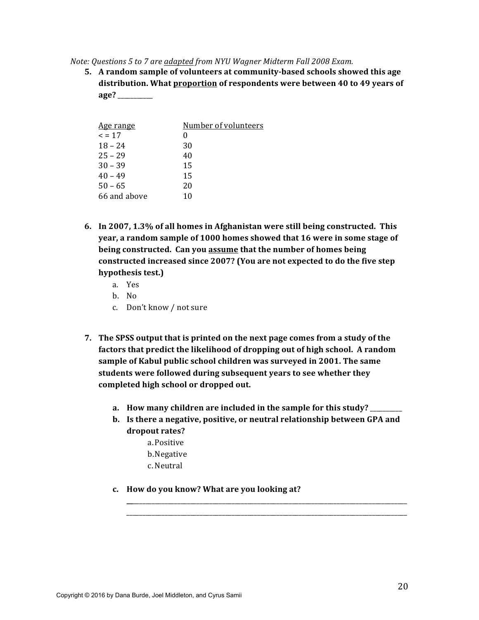*Note: Questions 5 to 7 are adapted from NYU Wagner Midterm Fall 2008 Exam.* 

**5.** A random sample of volunteers at community-based schools showed this age distribution. What proportion of respondents were between 40 to 49 years of **age?** \_\_\_\_\_\_\_\_\_\_\_

| <u>Age range</u> | Number of volunteers |
|------------------|----------------------|
| $\leq$ = 17      | 0                    |
| $18 - 24$        | 30                   |
| $25 - 29$        | 40                   |
| $30 - 39$        | 15                   |
| $40 - 49$        | 15                   |
| $50 - 65$        | 20                   |
| 66 and above     | 10                   |
|                  |                      |

- **6.** In 2007, 1.3% of all homes in Afghanistan were still being constructed. This **year, a random sample of 1000 homes showed that 16 were in some stage of being constructed.** Can you assume that the number of homes being constructed increased since 2007? (You are not expected to do the five step hypothesis test.)
	- a. Yes
	- b. No
	- c. Don't know / not sure
- **7.** The SPSS output that is printed on the next page comes from a study of the **factors that predict the likelihood of dropping out of high school. A random** sample of Kabul public school children was surveyed in 2001. The same students were followed during subsequent years to see whether they completed high school or dropped out.
	- a. How many children are included in the sample for this study? \_\_\_\_\_\_\_\_
	- **b.** Is there a negative, positive, or neutral relationship between GPA and dropout rates?

**\_\_**\_\_\_\_\_\_\_\_\_\_\_\_\_\_\_\_\_\_\_\_\_\_\_\_\_\_\_\_\_\_\_\_\_\_\_\_\_\_\_\_\_\_\_\_\_\_\_\_\_\_\_\_\_\_\_\_\_\_\_\_\_\_\_\_\_\_\_\_\_\_\_\_\_\_\_\_\_\_\_\_\_\_\_\_\_\_ \_\_\_\_\_\_\_\_\_\_\_\_\_\_\_\_\_\_\_\_\_\_\_\_\_\_\_\_\_\_\_\_\_\_\_\_\_\_\_\_\_\_\_\_\_\_\_\_\_\_\_\_\_\_\_\_\_\_\_\_\_\_\_\_\_\_\_\_\_\_\_\_\_\_\_\_\_\_\_\_\_\_\_\_\_\_\_\_

- a.Positive
- b.Negative
- c. Neutral
- **c.** How do you know? What are you looking at?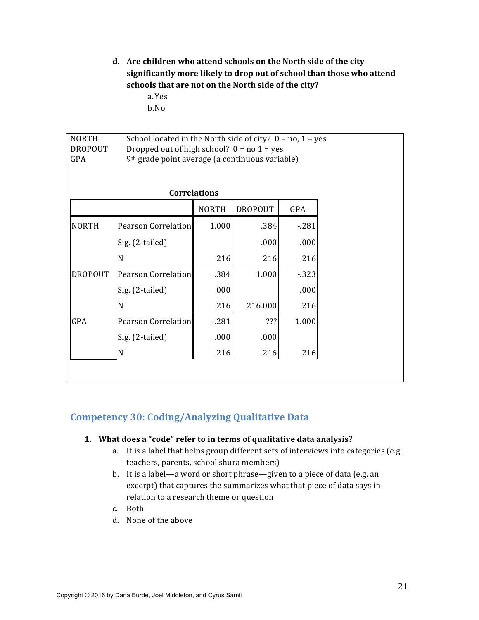d. Are children who attend schools on the North side of the city significantly more likely to drop out of school than those who attend schools that are not on the North side of the city?

> a.Yes b.No

| <b>NORTH</b><br><b>DROPOUT</b><br>GPA | School located in the North side of city? $0 = no$ , $1 = yes$<br>Dropped out of high school? $0 = no 1 = yes$<br>9 <sup>th</sup> grade point average (a continuous variable) |              |                |        |  |  |  |
|---------------------------------------|-------------------------------------------------------------------------------------------------------------------------------------------------------------------------------|--------------|----------------|--------|--|--|--|
|                                       | <b>Correlations</b>                                                                                                                                                           |              |                |        |  |  |  |
|                                       |                                                                                                                                                                               | <b>NORTH</b> | <b>DROPOUT</b> | GPA    |  |  |  |
| <b>NORTH</b>                          | <b>Pearson Correlation</b>                                                                                                                                                    | 1.000        | .384           | $-281$ |  |  |  |
|                                       | Sig. (2-tailed)                                                                                                                                                               |              | .000           | .000   |  |  |  |
|                                       | N                                                                                                                                                                             | 216          | 216            | 216    |  |  |  |
| <b>DROPOUT</b>                        | Pearson Correlation                                                                                                                                                           | .384         | 1.000          | $-323$ |  |  |  |
|                                       | Sig. (2-tailed)                                                                                                                                                               | 000          |                | .000   |  |  |  |
|                                       | N                                                                                                                                                                             | 216          | 216.000        | 216    |  |  |  |
| GPA                                   | Pearson Correlation                                                                                                                                                           | $-281$       | ???            | 1.000  |  |  |  |
|                                       | Sig. (2-tailed)                                                                                                                                                               | .000         | .000           |        |  |  |  |
|                                       | N                                                                                                                                                                             | 216          | 216            | 216    |  |  |  |

## **Competency 30: Coding/Analyzing Qualitative Data**

#### 1. What does a "code" refer to in terms of qualitative data analysis?

- a. It is a label that helps group different sets of interviews into categories (e.g. teachers, parents, school shura members)
- b. It is a label—a word or short phrase—given to a piece of data (e.g. an excerpt) that captures the summarizes what that piece of data says in relation to a research theme or question
- c. Both
- d. None of the above